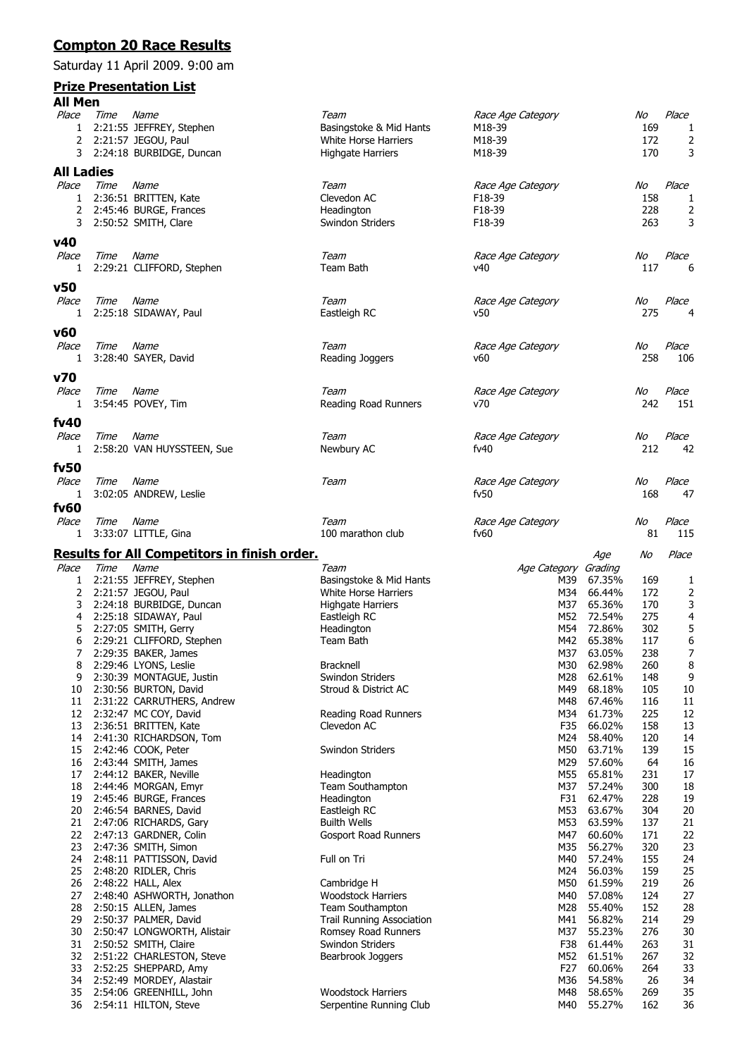## **Compton 20 Race Results**

Saturday 11 April 2009. 9:00 am

## **Prize Presentation List**

| All Men        |      |                                                     |                                          |                           |                  |            |             |
|----------------|------|-----------------------------------------------------|------------------------------------------|---------------------------|------------------|------------|-------------|
| Place          | Time | Name                                                | Team                                     | Race Age Category         |                  | No         | Place       |
| 1              |      | 2:21:55 JEFFREY, Stephen                            | Basingstoke & Mid Hants                  | M18-39                    |                  | 169        | 1           |
| 2              |      | 2:21:57 JEGOU, Paul                                 | White Horse Harriers                     | M18-39                    |                  | 172        | 2           |
| 3              |      | 2:24:18 BURBIDGE, Duncan                            | Highgate Harriers                        | M18-39                    |                  | 170        | 3           |
| All Ladies     |      |                                                     |                                          |                           |                  |            |             |
| Place          | Time | Name                                                | Team                                     | Race Age Category         |                  | No         | Place       |
| 1              |      | 2:36:51 BRITTEN, Kate                               | Clevedon AC                              | F18-39                    |                  | 158        | 1           |
| 2              |      | 2:45:46 BURGE, Frances                              | Headington                               | F18-39                    |                  | 228        | 2           |
| 3              |      | 2:50:52 SMITH, Clare                                | Swindon Striders                         | F18-39                    |                  | 263        | 3           |
| v40            |      |                                                     |                                          |                           |                  |            |             |
| Place          | Time | Name                                                | Team                                     | Race Age Category         |                  | No         | Place       |
| 1              |      | 2:29:21 CLIFFORD, Stephen                           | Team Bath                                | ν40                       |                  | 117        | 6           |
| v50            |      |                                                     |                                          |                           |                  |            |             |
| Place          | Time | Name                                                | Team                                     | Race Age Category         |                  | No         | Place       |
| 1              |      | 2:25:18 SIDAWAY, Paul                               | Eastleigh RC                             | v50                       |                  | 275        | 4           |
|                |      |                                                     |                                          |                           |                  |            |             |
| v60            |      |                                                     |                                          |                           |                  |            |             |
| Place          | Time | Name                                                | Team                                     | Race Age Category         |                  | No<br>258  | Place       |
| 1              |      | 3:28:40 SAYER, David                                | Reading Joggers                          | v60                       |                  |            | 106         |
| v70            |      |                                                     |                                          |                           |                  |            |             |
| Place          | Time | Name                                                | Team                                     | Race Age Category         |                  | No         | Place       |
| 1              |      | 3:54:45 POVEY, Tim                                  | Reading Road Runners                     | v70                       |                  | 242        | 151         |
| fv40           |      |                                                     |                                          |                           |                  |            |             |
| Place          | Time | Name                                                | Team                                     | Race Age Category         |                  | No         | Place       |
| 1              |      | 2:58:20 VAN HUYSSTEEN, Sue                          | Newbury AC                               | fv40                      |                  | 212        | 42          |
|                |      |                                                     |                                          |                           |                  |            |             |
| fv50           |      |                                                     |                                          |                           |                  |            |             |
| Place          | Time | Name                                                | Team                                     | Race Age Category<br>fv50 |                  | No<br>168  | Place<br>47 |
| 1              |      | 3:02:05 ANDREW, Leslie                              |                                          |                           |                  |            |             |
| fv60<br>Place  |      |                                                     | Team                                     |                           |                  |            | Place       |
| 1              | Time | Name<br>3:33:07 LITTLE, Gina                        | 100 marathon club                        | Race Age Category<br>fv60 |                  | No<br>81   | 115         |
|                |      |                                                     |                                          |                           |                  |            |             |
|                |      | <b>Results for All Competitors in finish order.</b> |                                          |                           | Age              | No         | Place       |
| Place          | Time | Name                                                | Team                                     | Age Category Grading      |                  |            |             |
| 1              |      | 2:21:55 JEFFREY, Stephen                            | Basingstoke & Mid Hants                  | M39                       | 67.35%           | 169        | 1           |
| 2              |      | 2:21:57 JEGOU, Paul                                 | White Horse Harriers                     | M34                       | 66.44%<br>65.36% | 172        | 2           |
| 3<br>4         |      | 2:24:18 BURBIDGE, Duncan<br>2:25:18 SIDAWAY, Paul   | <b>Highgate Harriers</b><br>Eastleigh RC | M37<br>M52                | 72.54%           | 170<br>275 | 3<br>4      |
| 5              |      | 2:27:05 SMITH, Gerry                                | Headington                               | M54                       | 72.86%           | 302        | 5           |
| 6              |      | 2:29:21 CLIFFORD, Stephen                           | Team Bath                                | M42                       | 65.38%           | 117        | 6           |
| $\overline{7}$ |      | 2:29:35 BAKER, James                                |                                          |                           | M37 63.05%       | 238        | 7           |
| 8              |      | 2:29:46 LYONS, Leslie                               | <b>Bracknell</b>                         | M30                       | 62.98%           | 260        | 8           |
| 9              |      | 2:30:39 MONTAGUE, Justin                            | Swindon Striders                         | M28                       | 62.61%           | 148        | 9           |
| 10             |      | 2:30:56 BURTON, David                               | Stroud & District AC                     | M49                       | 68.18%           | 105        | 10          |
| 11             |      | 2:31:22 CARRUTHERS, Andrew                          |                                          | M48                       | 67.46%           | 116        | 11          |
| 12             |      | 2:32:47 MC COY, David                               | Reading Road Runners                     | M34                       | 61.73%           | 225        | 12          |
| 13             |      | 2:36:51 BRITTEN, Kate                               | Clevedon AC                              | F35                       | 66.02%           | 158        | 13          |
| 14             |      | 2:41:30 RICHARDSON, Tom                             |                                          | M24                       | 58.40%           | 120        | 14          |
| 15             |      | 2:42:46 COOK, Peter                                 | Swindon Striders                         | M50                       | 63.71%<br>57.60% | 139        | 15          |
| 16<br>17       |      | 2:43:44 SMITH, James<br>2:44:12 BAKER, Neville      | Headington                               | M29<br>M55                | 65.81%           | 64<br>231  | 16<br>17    |
| 18             |      | 2:44:46 MORGAN, Emyr                                | Team Southampton                         | M37                       | 57.24%           | 300        | 18          |
| 19             |      | 2:45:46 BURGE, Frances                              | Headington                               | F31                       | 62.47%           | 228        | 19          |
| 20             |      | 2:46:54 BARNES, David                               | Eastleigh RC                             | M53                       | 63.67%           | 304        | 20          |
| 21             |      | 2:47:06 RICHARDS, Gary                              | <b>Builth Wells</b>                      | M53                       | 63.59%           | 137        | 21          |
| 22             |      | 2:47:13 GARDNER, Colin                              | Gosport Road Runners                     | M47                       | 60.60%           | 171        | 22          |
| 23             |      | 2:47:36 SMITH, Simon                                |                                          | M35                       | 56.27%           | 320        | 23          |
| 24             |      | 2:48:11 PATTISSON, David                            | Full on Tri                              | M40                       | 57.24%           | 155        | 24          |
| 25             |      | 2:48:20 RIDLER, Chris                               |                                          | M24                       | 56.03%           | 159        | 25          |
| 26<br>27       |      | 2:48:22 HALL, Alex<br>2:48:40 ASHWORTH, Jonathon    | Cambridge H<br><b>Woodstock Harriers</b> | M50<br>M40                | 61.59%<br>57.08% | 219<br>124 | 26<br>27    |
| 28             |      | 2:50:15 ALLEN, James                                | Team Southampton                         | M28                       | 55.40%           | 152        | 28          |
| 29             |      | 2:50:37 PALMER, David                               | <b>Trail Running Association</b>         | M41                       | 56.82%           | 214        | 29          |
| 30             |      | 2:50:47 LONGWORTH, Alistair                         | Romsey Road Runners                      | M37                       | 55.23%           | 276        | 30          |
| 31             |      | 2:50:52 SMITH, Claire                               | Swindon Striders                         | F38                       | 61.44%           | 263        | 31          |
| 32             |      | 2:51:22 CHARLESTON, Steve                           | Bearbrook Joggers                        | M52                       | 61.51%           | 267        | 32          |
| 33             |      | 2:52:25 SHEPPARD, Amy                               |                                          | F <sub>27</sub>           | 60.06%           | 264        | 33          |
| 34             |      | 2:52:49 MORDEY, Alastair                            |                                          | M36                       | 54.58%           | 26         | 34          |
| 35             |      | 2:54:06 GREENHILL, John                             | <b>Woodstock Harriers</b>                | M48                       | 58.65%           | 269        | 35          |
| 36             |      | 2:54:11 HILTON, Steve                               | Serpentine Running Club                  | M40                       | 55.27%           | 162        | 36          |
|                |      |                                                     |                                          |                           |                  |            |             |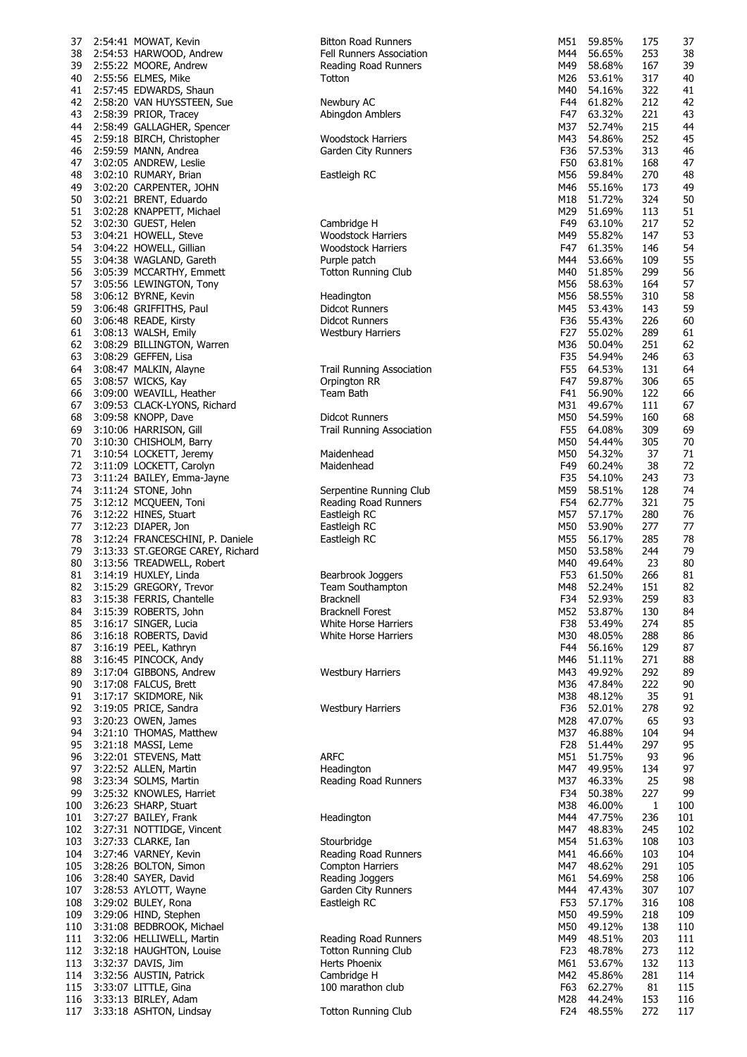| 37  | 2:54:41 MOWAT, Kevin             | <b>Bitton Road Runners</b>       | M51   | 59.85%     | 175 | 37  |
|-----|----------------------------------|----------------------------------|-------|------------|-----|-----|
| 38  | 2:54:53 HARWOOD, Andrew          | Fell Runners Association         | M44   | 56.65%     | 253 | 38  |
|     |                                  |                                  |       |            |     |     |
| 39  | 2:55:22 MOORE, Andrew            | Reading Road Runners             | M49   | 58.68%     | 167 | 39  |
| 40  | 2:55:56 ELMES, Mike              | Totton                           | M26   | 53.61%     | 317 | 40  |
| 41  | 2:57:45 EDWARDS, Shaun           |                                  | M40   | 54.16%     | 322 | 41  |
| 42  | 2:58:20 VAN HUYSSTEEN, Sue       | Newbury AC                       | F44   | 61.82%     | 212 | 42  |
| 43  | 2:58:39 PRIOR, Tracey            | Abingdon Amblers                 | F47   | 63.32%     | 221 | 43  |
|     |                                  |                                  |       |            |     |     |
| 44  | 2:58:49 GALLAGHER, Spencer       |                                  | M37   | 52.74%     | 215 | 44  |
| 45  | 2:59:18 BIRCH, Christopher       | <b>Woodstock Harriers</b>        | M43   | 54.86%     | 252 | 45  |
| 46  | 2:59:59 MANN, Andrea             | Garden City Runners              | F36   | 57.53%     | 313 | 46  |
| 47  | 3:02:05 ANDREW, Leslie           |                                  | F50   | 63.81%     | 168 | 47  |
|     |                                  |                                  |       |            |     |     |
| 48  | 3:02:10 RUMARY, Brian            | Eastleigh RC                     | M56   | 59.84%     | 270 | 48  |
| 49  | 3:02:20 CARPENTER, JOHN          |                                  | M46   | 55.16%     | 173 | 49  |
| 50  | 3:02:21 BRENT, Eduardo           |                                  | M18   | 51.72%     | 324 | 50  |
| 51  | 3:02:28 KNAPPETT, Michael        |                                  | M29   | 51.69%     | 113 | 51  |
| 52  |                                  | Cambridge H                      | F49   | 63.10%     | 217 | 52  |
|     | 3:02:30 GUEST, Helen             |                                  |       |            |     |     |
| 53  | 3:04:21 HOWELL, Steve            | <b>Woodstock Harriers</b>        | M49   | 55.82%     | 147 | 53  |
| 54  | 3:04:22 HOWELL, Gillian          | Woodstock Harriers               | F47   | 61.35%     | 146 | 54  |
| 55  | 3:04:38 WAGLAND, Gareth          | Purple patch                     | M44   | 53.66%     | 109 | 55  |
| 56  | 3:05:39 MCCARTHY, Emmett         | <b>Totton Running Club</b>       | M40   | 51.85%     | 299 | 56  |
|     |                                  |                                  |       |            |     |     |
| 57  | 3:05:56 LEWINGTON, Tony          |                                  | M56   | 58.63%     | 164 | 57  |
| 58  | 3:06:12 BYRNE, Kevin             | Headington                       | M56   | 58.55%     | 310 | 58  |
| 59  | 3:06:48 GRIFFITHS, Paul          | Didcot Runners                   | M45   | 53.43%     | 143 | 59  |
| 60  | 3:06:48 READE, Kirsty            | Didcot Runners                   | F36   | 55.43%     | 226 | 60  |
|     |                                  |                                  | F27   | 55.02%     | 289 | 61  |
| 61  | 3:08:13 WALSH, Emily             | <b>Westbury Harriers</b>         |       |            |     |     |
| 62  | 3:08:29 BILLINGTON, Warren       |                                  | M36   | 50.04%     | 251 | 62  |
| 63  | 3:08:29 GEFFEN, Lisa             |                                  | F35   | 54.94%     | 246 | 63  |
| 64  | 3:08:47 MALKIN, Alayne           | <b>Trail Running Association</b> | F55   | 64.53%     | 131 | 64  |
| 65  |                                  | Orpington RR                     | F47   | 59.87%     | 306 | 65  |
|     | 3:08:57 WICKS, Kay               |                                  |       |            |     |     |
| 66  | 3:09:00 WEAVILL, Heather         | Team Bath                        | F41   | 56.90%     | 122 | 66  |
| 67  | 3:09:53 CLACK-LYONS, Richard     |                                  | M31   | 49.67%     | 111 | 67  |
| 68  | 3:09:58 KNOPP, Dave              | <b>Didcot Runners</b>            | M50   | 54.59%     | 160 | 68  |
| 69  | 3:10:06 HARRISON, Gill           | Trail Running Association        | F55   | 64.08%     | 309 | 69  |
|     |                                  |                                  |       |            |     |     |
| 70  | 3:10:30 CHISHOLM, Barry          |                                  | M50   | 54.44%     | 305 | 70  |
| 71  | 3:10:54 LOCKETT, Jeremy          | Maidenhead                       | M50   | 54.32%     | 37  | 71  |
| 72  | 3:11:09 LOCKETT, Carolyn         | Maidenhead                       | F49   | 60.24%     | 38  | 72  |
| 73  | 3:11:24 BAILEY, Emma-Jayne       |                                  | F35   | 54.10%     | 243 | 73  |
| 74  |                                  | Serpentine Running Club          | M59   | 58.51%     | 128 | 74  |
|     | 3:11:24 STONE, John              |                                  |       |            |     |     |
| 75  | 3:12:12 MCQUEEN, Toni            | Reading Road Runners             | F54   | 62.77%     | 321 | 75  |
| 76  | 3:12:22 HINES, Stuart            | Eastleigh RC                     | M57   | 57.17%     | 280 | 76  |
| 77  | 3:12:23 DIAPER, Jon              | Eastleigh RC                     | M50   | 53.90%     | 277 | 77  |
| 78  | 3:12:24 FRANCESCHINI, P. Daniele | Eastleigh RC                     | M55   | 56.17%     | 285 | 78  |
|     |                                  |                                  |       |            |     |     |
| 79  | 3:13:33 ST.GEORGE CAREY, Richard |                                  | M50   | 53.58%     | 244 | 79  |
| 80  | 3:13:56 TREADWELL, Robert        |                                  | M40   | 49.64%     | 23  | 80  |
| 81  | 3:14:19 HUXLEY, Linda            | Bearbrook Joggers                | F53   | 61.50%     | 266 | 81  |
| 82  | 3:15:29 GREGORY, Trevor          | Team Southampton                 | M48   | 52.24%     | 151 | 82  |
|     |                                  |                                  |       |            |     |     |
|     | 83 3:15:38 FERRIS, Chantelle     | Bracknell                        |       | F34 52.93% | 259 | 83  |
| 84  | 3:15:39 ROBERTS, John            | <b>Bracknell Forest</b>          |       | M52 53.87% | 130 | 84  |
| 85  | 3:16:17 SINGER, Lucia            | White Horse Harriers             | F38 I | 53.49%     | 274 | 85  |
| 86  | 3:16:18 ROBERTS, David           | White Horse Harriers             | M30   | 48.05%     | 288 | 86  |
|     |                                  |                                  |       |            |     |     |
| 87  | 3:16:19 PEEL, Kathryn            |                                  | F44   | 56.16%     | 129 | 87  |
| 88  | 3:16:45 PINCOCK, Andy            |                                  | M46   | 51.11%     | 271 | 88  |
| 89  | 3:17:04 GIBBONS, Andrew          | <b>Westbury Harriers</b>         | M43   | 49.92%     | 292 | 89  |
| 90  | 3:17:08 FALCUS, Brett            |                                  | M36   | 47.84%     | 222 | 90  |
| 91  | 3:17:17 SKIDMORE, Nik            |                                  | M38   | 48.12%     | 35  | 91  |
|     |                                  | <b>Westbury Harriers</b>         |       |            |     |     |
| 92  | 3:19:05 PRICE, Sandra            |                                  | F36   | 52.01%     | 278 | 92  |
| 93  | 3:20:23 OWEN, James              |                                  | M28   | 47.07%     | 65  | 93  |
| 94  | 3:21:10 THOMAS, Matthew          |                                  | M37   | 46.88%     | 104 | 94  |
| 95  | 3:21:18 MASSI, Leme              |                                  | F28   | 51.44%     | 297 | 95  |
| 96  | 3:22:01 STEVENS, Matt            | <b>ARFC</b>                      | M51   | 51.75%     | 93  | 96  |
|     |                                  |                                  |       |            |     |     |
| 97  | 3:22:52 ALLEN, Martin            | Headington                       | M47   | 49.95%     | 134 | 97  |
| 98  | 3:23:34 SOLMS, Martin            | Reading Road Runners             | M37   | 46.33%     | 25  | 98  |
| 99  | 3:25:32 KNOWLES, Harriet         |                                  | F34   | 50.38%     | 227 | 99  |
| 100 | 3:26:23 SHARP, Stuart            |                                  | M38   | 46.00%     | 1   | 100 |
|     |                                  | Headington                       | M44   | 47.75%     | 236 |     |
| 101 | 3:27:27 BAILEY, Frank            |                                  |       |            |     | 101 |
| 102 | 3:27:31 NOTTIDGE, Vincent        |                                  | M47   | 48.83%     | 245 | 102 |
| 103 | 3:27:33 CLARKE, Ian              | Stourbridge                      | M54   | 51.63%     | 108 | 103 |
| 104 | 3:27:46 VARNEY, Kevin            | Reading Road Runners             | M41   | 46.66%     | 103 | 104 |
| 105 | 3:28:26 BOLTON, Simon            | <b>Compton Harriers</b>          | M47   | 48.62%     | 291 | 105 |
|     |                                  |                                  |       |            |     |     |
| 106 | 3:28:40 SAYER, David             | Reading Joggers                  | M61   | 54.69%     | 258 | 106 |
| 107 | 3:28:53 AYLOTT, Wayne            | Garden City Runners              | M44   | 47.43%     | 307 | 107 |
| 108 | 3:29:02 BULEY, Rona              | Eastleigh RC                     | F53   | 57.17%     | 316 | 108 |
| 109 | 3:29:06 HIND, Stephen            |                                  | M50   | 49.59%     | 218 | 109 |
|     |                                  |                                  | M50   | 49.12%     | 138 |     |
| 110 | 3:31:08 BEDBROOK, Michael        |                                  |       |            |     | 110 |
| 111 | 3:32:06 HELLIWELL, Martin        | Reading Road Runners             | M49   | 48.51%     | 203 | 111 |
| 112 | 3:32:18 HAUGHTON, Louise         | <b>Totton Running Club</b>       | F23   | 48.78%     | 273 | 112 |
| 113 | 3:32:37 DAVIS, Jim               | Herts Phoenix                    | M61   | 53.67%     | 132 | 113 |
| 114 | 3:32:56 AUSTIN, Patrick          | Cambridge H                      | M42   | 45.86%     | 281 | 114 |
|     |                                  |                                  |       |            |     |     |
| 115 | 3:33:07 LITTLE, Gina             | 100 marathon club                | F63   | 62.27%     | 81  | 115 |
|     | 116 3:33:13 BIRLEY, Adam         |                                  | M28   | 44.24%     | 153 | 116 |
| 117 | 3:33:18 ASHTON, Lindsay          | <b>Totton Running Club</b>       | F24   | 48.55%     | 272 | 117 |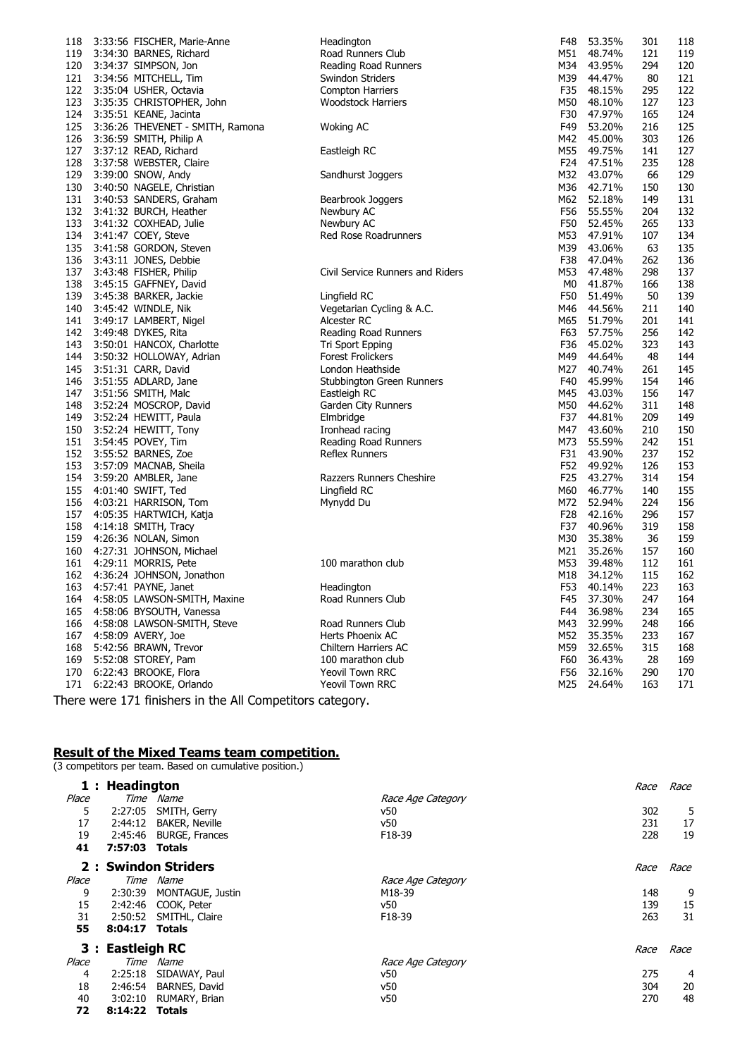| 118 | 3:33:56 FISCHER, Marie-Anne      | Headington                       | F48 | 53.35%     | 301 | 118 |
|-----|----------------------------------|----------------------------------|-----|------------|-----|-----|
| 119 | 3:34:30 BARNES, Richard          | Road Runners Club                | M51 | 48.74%     | 121 | 119 |
| 120 | 3:34:37 SIMPSON, Jon             | Reading Road Runners             |     | M34 43.95% | 294 | 120 |
| 121 | 3:34:56 MITCHELL, Tim            | Swindon Striders                 | M39 | 44.47%     | 80  | 121 |
| 122 | 3:35:04 USHER, Octavia           | <b>Compton Harriers</b>          | F35 | 48.15%     | 295 | 122 |
| 123 | 3:35:35 CHRISTOPHER, John        | <b>Woodstock Harriers</b>        | M50 | 48.10%     | 127 | 123 |
| 124 | 3:35:51 KEANE, Jacinta           |                                  | F30 | 47.97%     | 165 | 124 |
| 125 | 3:36:26 THEVENET - SMITH, Ramona | <b>Woking AC</b>                 | F49 | 53.20%     | 216 | 125 |
| 126 | 3:36:59 SMITH, Philip A          |                                  | M42 | 45.00%     | 303 | 126 |
| 127 | 3:37:12 READ, Richard            | Eastleigh RC                     | M55 | 49.75%     | 141 | 127 |
| 128 | 3:37:58 WEBSTER, Claire          |                                  |     | F24 47.51% | 235 | 128 |
| 129 | 3:39:00 SNOW, Andy               | Sandhurst Joggers                | M32 | 43.07%     | 66  | 129 |
| 130 | 3:40:50 NAGELE, Christian        |                                  | M36 | 42.71%     | 150 | 130 |
| 131 | 3:40:53 SANDERS, Graham          | Bearbrook Joggers                | M62 | 52.18%     | 149 | 131 |
| 132 | 3:41:32 BURCH, Heather           | Newbury AC                       | F56 | 55.55%     | 204 | 132 |
| 133 | 3:41:32 COXHEAD, Julie           | Newbury AC                       | F50 | 52.45%     | 265 | 133 |
| 134 | 3:41:47 COEY, Steve              | Red Rose Roadrunners             | M53 | 47.91%     | 107 | 134 |
| 135 | 3:41:58 GORDON, Steven           |                                  | M39 | 43.06%     | 63  | 135 |
| 136 | 3:43:11 JONES, Debbie            |                                  | F38 | 47.04%     | 262 | 136 |
| 137 | 3:43:48 FISHER, Philip           | Civil Service Runners and Riders | M53 | 47.48%     | 298 | 137 |
| 138 |                                  |                                  | M0  | 41.87%     | 166 | 138 |
|     | 3:45:15 GAFFNEY, David           |                                  |     |            |     |     |
| 139 | 3:45:38 BARKER, Jackie           | Lingfield RC                     | F50 | 51.49%     | 50  | 139 |
| 140 | 3:45:42 WINDLE, Nik              | Vegetarian Cycling & A.C.        | M46 | 44.56%     | 211 | 140 |
| 141 | 3:49:17 LAMBERT, Nigel           | Alcester RC                      | M65 | 51.79%     | 201 | 141 |
| 142 | 3:49:48 DYKES, Rita              | Reading Road Runners             | F63 | 57.75%     | 256 | 142 |
| 143 | 3:50:01 HANCOX, Charlotte        | Tri Sport Epping                 | F36 | 45.02%     | 323 | 143 |
| 144 | 3:50:32 HOLLOWAY, Adrian         | <b>Forest Frolickers</b>         | M49 | 44.64%     | 48  | 144 |
| 145 | 3:51:31 CARR, David              | London Heathside                 | M27 | 40.74%     | 261 | 145 |
| 146 | 3:51:55 ADLARD, Jane             | Stubbington Green Runners        | F40 | 45.99%     | 154 | 146 |
| 147 | 3:51:56 SMITH, Malc              | Eastleigh RC                     | M45 | 43.03%     | 156 | 147 |
| 148 | 3:52:24 MOSCROP, David           | Garden City Runners              | M50 | 44.62%     | 311 | 148 |
| 149 | 3:52:24 HEWITT, Paula            | Elmbridge                        | F37 | 44.81%     | 209 | 149 |
| 150 | 3:52:24 HEWITT, Tony             | Ironhead racing                  | M47 | 43.60%     | 210 | 150 |
| 151 | 3:54:45 POVEY, Tim               | Reading Road Runners             | M73 | 55.59%     | 242 | 151 |
| 152 | 3:55:52 BARNES, Zoe              | Reflex Runners                   | F31 | 43.90%     | 237 | 152 |
| 153 | 3:57:09 MACNAB, Sheila           |                                  | F52 | 49.92%     | 126 | 153 |
| 154 | 3:59:20 AMBLER, Jane             | Razzers Runners Cheshire         | F25 | 43.27%     | 314 | 154 |
| 155 | 4:01:40 SWIFT, Ted               | Lingfield RC                     | M60 | 46.77%     | 140 | 155 |
| 156 | 4:03:21 HARRISON, Tom            | Mynydd Du                        | M72 | 52.94%     | 224 | 156 |
| 157 | 4:05:35 HARTWICH, Katja          |                                  | F28 | 42.16%     | 296 | 157 |
| 158 | 4:14:18 SMITH, Tracy             |                                  | F37 | 40.96%     | 319 | 158 |
| 159 | 4:26:36 NOLAN, Simon             |                                  | M30 | 35.38%     | 36  | 159 |
| 160 | 4:27:31 JOHNSON, Michael         |                                  | M21 | 35.26%     | 157 | 160 |
| 161 | 4:29:11 MORRIS, Pete             | 100 marathon club                | M53 | 39.48%     | 112 | 161 |
| 162 | 4:36:24 JOHNSON, Jonathon        |                                  | M18 | 34.12%     | 115 | 162 |
| 163 | 4:57:41 PAYNE, Janet             | Headington                       | F53 | 40.14%     | 223 | 163 |
|     | 164 4:58:05 LAWSON-SMITH, Maxine | Road Runners Club                |     | F45 37.30% | 247 | 164 |
| 165 | 4:58:06 BYSOUTH, Vanessa         |                                  |     | F44 36.98% | 234 | 165 |
| 166 | 4:58:08 LAWSON-SMITH, Steve      | Road Runners Club                | M43 | 32.99%     | 248 | 166 |
| 167 | 4:58:09 AVERY, Joe               | Herts Phoenix AC                 | M52 | 35.35%     | 233 | 167 |
| 168 | 5:42:56 BRAWN, Trevor            | Chiltern Harriers AC             | M59 | 32.65%     | 315 | 168 |
| 169 | 5:52:08 STOREY, Pam              | 100 marathon club                | F60 | 36.43%     | 28  | 169 |
| 170 | 6:22:43 BROOKE, Flora            | Yeovil Town RRC                  | F56 | 32.16%     | 290 | 170 |
| 171 | 6:22:43 BROOKE, Orlando          | Yeovil Town RRC                  | M25 | 24.64%     | 163 | 171 |
|     |                                  |                                  |     |            |     |     |

There were 171 finishers in the All Competitors category.

## **Result of the Mixed Teams team competition.**

(3 competitors per team. Based on cumulative position.)

|       | 1 : Headington   |                       |                   | Race | Race |
|-------|------------------|-----------------------|-------------------|------|------|
| Place | Time             | Name                  | Race Age Category |      |      |
| 5     | 2:27:05          | SMITH, Gerry          | v50               | 302  | 5    |
| 17    | 2:44:12          | <b>BAKER, Neville</b> | v50               | 231  | 17   |
| 19    | 2:45:46          | <b>BURGE, Frances</b> | F18-39            | 228  | 19   |
| 41    | 7:57:03          | Totals                |                   |      |      |
|       |                  | 2: Swindon Striders   |                   | Race | Race |
| Place | Time             | Name                  | Race Age Category |      |      |
| 9     | 2:30:39          | MONTAGUE, Justin      | M18-39            | 148  | 9    |
| 15    | 2:42:46          | COOK, Peter           | v50               | 139  | 15   |
| 31    | 2:50:52          | SMITHL, Claire        | F18-39            | 263  | 31   |
| 55    | 8:04:17 Totals   |                       |                   |      |      |
|       | 3 : Eastleigh RC |                       |                   | Race | Race |
| Place | Time             | Name                  | Race Age Category |      |      |
| 4     | 2:25:18          | SIDAWAY, Paul         | ν50               | 275  | 4    |
| 18    | 2:46:54          | BARNES, David         | v50               | 304  | 20   |
| 40    | 3:02:10          | RUMARY, Brian         | ν50               | 270  | 48   |
| 72    | 8:14:22 Totals   |                       |                   |      |      |